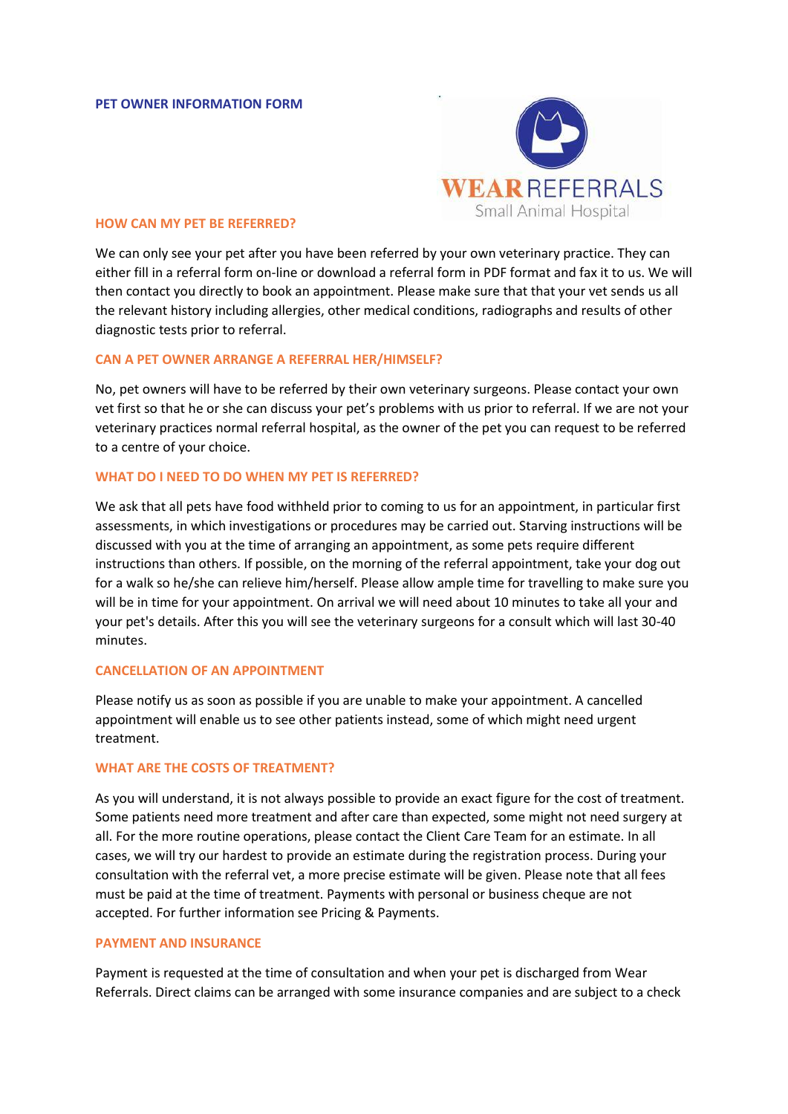

### **HOW CAN MY PET BE REFERRED?**

We can only see your pet after you have been referred by your own veterinary practice. They can either fill in a referral form on-line or download a referral form in PDF format and fax it to us. We will then contact you directly to book an appointment. Please make sure that that your vet sends us all the relevant history including allergies, other medical conditions, radiographs and results of other diagnostic tests prior to referral.

#### **CAN A PET OWNER ARRANGE A REFERRAL HER/HIMSELF?**

No, pet owners will have to be referred by their own veterinary surgeons. Please contact your own vet first so that he or she can discuss your pet's problems with us prior to referral. If we are not your veterinary practices normal referral hospital, as the owner of the pet you can request to be referred to a centre of your choice.

# **WHAT DO I NEED TO DO WHEN MY PET IS REFERRED?**

We ask that all pets have food withheld prior to coming to us for an appointment, in particular first assessments, in which investigations or procedures may be carried out. Starving instructions will be discussed with you at the time of arranging an appointment, as some pets require different instructions than others. If possible, on the morning of the referral appointment, take your dog out for a walk so he/she can relieve him/herself. Please allow ample time for travelling to make sure you will be in time for your appointment. On arrival we will need about 10 minutes to take all your and your pet's details. After this you will see the veterinary surgeons for a consult which will last 30-40 minutes.

#### **CANCELLATION OF AN APPOINTMENT**

Please notify us as soon as possible if you are unable to make your appointment. A cancelled appointment will enable us to see other patients instead, some of which might need urgent treatment.

### **WHAT ARE THE COSTS OF TREATMENT?**

As you will understand, it is not always possible to provide an exact figure for the cost of treatment. Some patients need more treatment and after care than expected, some might not need surgery at all. For the more routine operations, please contact the Client Care Team for an estimate. In all cases, we will try our hardest to provide an estimate during the registration process. During your consultation with the referral vet, a more precise estimate will be given. Please note that all fees must be paid at the time of treatment. Payments with personal or business cheque are not accepted. For further information see Pricing & Payments.

### **PAYMENT AND INSURANCE**

Payment is requested at the time of consultation and when your pet is discharged from Wear Referrals. Direct claims can be arranged with some insurance companies and are subject to a check